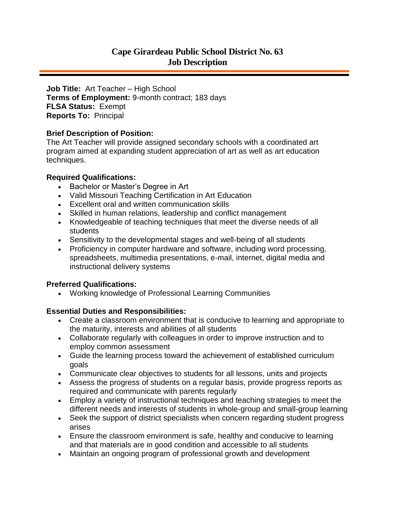# **Cape Girardeau Public School District No. 63 Job Description**

**Job Title:** Art Teacher – High School **Terms of Employment:** 9-month contract; 183 days **FLSA Status:** Exempt **Reports To:** Principal

### **Brief Description of Position:**

The Art Teacher will provide assigned secondary schools with a coordinated art program aimed at expanding student appreciation of art as well as art education techniques.

### **Required Qualifications:**

- Bachelor or Master's Degree in Art
- Valid Missouri Teaching Certification in Art Education
- Excellent oral and written communication skills
- Skilled in human relations, leadership and conflict management
- Knowledgeable of teaching techniques that meet the diverse needs of all students
- Sensitivity to the developmental stages and well-being of all students
- Proficiency in computer hardware and software, including word processing, spreadsheets, multimedia presentations, e-mail, internet, digital media and instructional delivery systems

## **Preferred Qualifications:**

Working knowledge of Professional Learning Communities

## **Essential Duties and Responsibilities:**

- Create a classroom environment that is conducive to learning and appropriate to the maturity, interests and abilities of all students
- Collaborate regularly with colleagues in order to improve instruction and to employ common assessment
- Guide the learning process toward the achievement of established curriculum goals
- Communicate clear objectives to students for all lessons, units and projects
- Assess the progress of students on a regular basis, provide progress reports as required and communicate with parents regularly
- Employ a variety of instructional techniques and teaching strategies to meet the different needs and interests of students in whole-group and small-group learning
- Seek the support of district specialists when concern regarding student progress arises
- Ensure the classroom environment is safe, healthy and conducive to learning and that materials are in good condition and accessible to all students
- Maintain an ongoing program of professional growth and development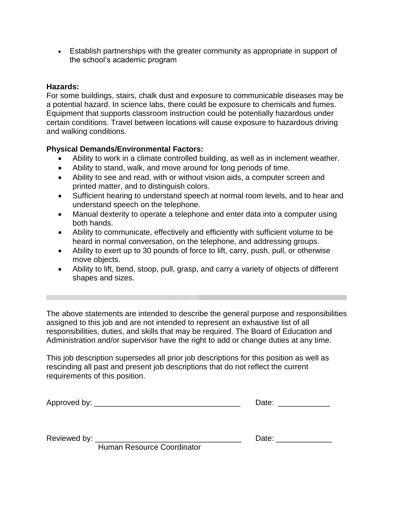Establish partnerships with the greater community as appropriate in support of the school's academic program

## **Hazards:**

For some buildings, stairs, chalk dust and exposure to communicable diseases may be a potential hazard. In science labs, there could be exposure to chemicals and fumes. Equipment that supports classroom instruction could be potentially hazardous under certain conditions. Travel between locations will cause exposure to hazardous driving and walking conditions.

### **Physical Demands/Environmental Factors:**

- Ability to work in a climate controlled building, as well as in inclement weather.
- Ability to stand, walk, and move around for long periods of time.
- Ability to see and read, with or without vision aids, a computer screen and printed matter, and to distinguish colors.
- Sufficient hearing to understand speech at normal room levels, and to hear and understand speech on the telephone.
- Manual dexterity to operate a telephone and enter data into a computer using both hands.
- Ability to communicate, effectively and efficiently with sufficient volume to be heard in normal conversation, on the telephone, and addressing groups.
- Ability to exert up to 30 pounds of force to lift, carry, push, pull, or otherwise move objects.
- Ability to lift, bend, stoop, pull, grasp, and carry a variety of objects of different shapes and sizes.

The above statements are intended to describe the general purpose and responsibilities assigned to this job and are not intended to represent an exhaustive list of all responsibilities, duties, and skills that may be required. The Board of Education and Administration and/or supervisor have the right to add or change duties at any time.

This job description supersedes all prior job descriptions for this position as well as rescinding all past and present job descriptions that do not reflect the current requirements of this position.

| Approved by: | Jate <sup>.</sup> |
|--------------|-------------------|
|--------------|-------------------|

Reviewed by: \_\_\_\_\_\_\_\_\_\_\_\_\_\_\_\_\_\_\_\_\_\_\_\_\_\_\_\_\_\_\_\_\_\_ Date: \_\_\_\_\_\_\_\_\_\_\_\_\_

Human Resource Coordinator